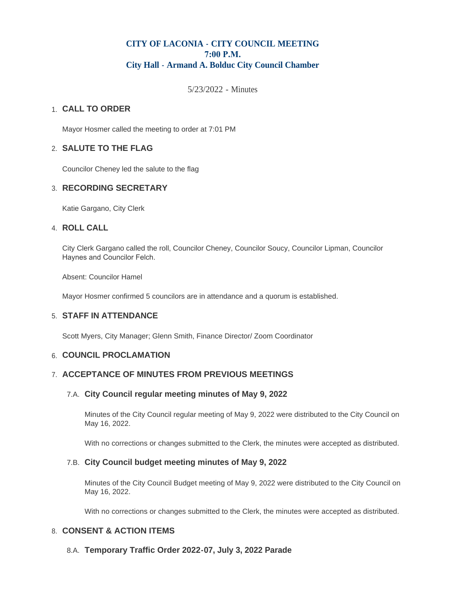# **CITY OF LACONIA - CITY COUNCIL MEETING 7:00 P.M. City Hall - Armand A. Bolduc City Council Chamber**

5/23/2022 - Minutes

# **CALL TO ORDER**  1.

Mayor Hosmer called the meeting to order at 7:01 PM

# **SALUTE TO THE FLAG** 2.

Councilor Cheney led the salute to the flag

## **RECORDING SECRETARY** 3.

Katie Gargano, City Clerk

### **ROLL CALL** 4.

City Clerk Gargano called the roll, Councilor Cheney, Councilor Soucy, Councilor Lipman, Councilor Haynes and Councilor Felch.

Absent: Councilor Hamel

Mayor Hosmer confirmed 5 councilors are in attendance and a quorum is established.

# **STAFF IN ATTENDANCE** 5.

Scott Myers, City Manager; Glenn Smith, Finance Director/ Zoom Coordinator

# **6. COUNCIL PROCLAMATION**

### **ACCEPTANCE OF MINUTES FROM PREVIOUS MEETINGS** 7.

#### **City Council regular meeting minutes of May 9, 2022** 7.A.

Minutes of the City Council regular meeting of May 9, 2022 were distributed to the City Council on May 16, 2022.

With no corrections or changes submitted to the Clerk, the minutes were accepted as distributed.

### **City Council budget meeting minutes of May 9, 2022** 7.B.

Minutes of the City Council Budget meeting of May 9, 2022 were distributed to the City Council on May 16, 2022.

With no corrections or changes submitted to the Clerk, the minutes were accepted as distributed.

### **CONSENT & ACTION ITEMS** 8.

**Temporary Traffic Order 2022-07, July 3, 2022 Parade** 8.A.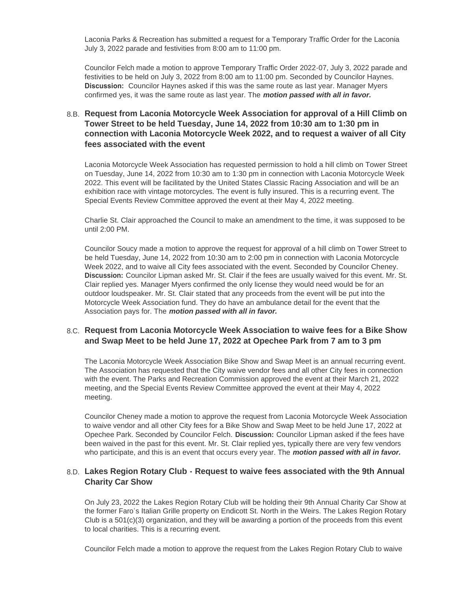Laconia Parks & Recreation has submitted a request for a Temporary Traffic Order for the Laconia July 3, 2022 parade and festivities from 8:00 am to 11:00 pm.

Councilor Felch made a motion to approve Temporary Traffic Order 2022-07, July 3, 2022 parade and festivities to be held on July 3, 2022 from 8:00 am to 11:00 pm. Seconded by Councilor Haynes. **Discussion:** Councilor Haynes asked if this was the same route as last year. Manager Myers confirmed yes, it was the same route as last year. The *motion passed with all in favor.*

# **Request from Laconia Motorcycle Week Association for approval of a Hill Climb on**  8.B. **Tower Street to be held Tuesday, June 14, 2022 from 10:30 am to 1:30 pm in connection with Laconia Motorcycle Week 2022, and to request a waiver of all City fees associated with the event**

Laconia Motorcycle Week Association has requested permission to hold a hill climb on Tower Street on Tuesday, June 14, 2022 from 10:30 am to 1:30 pm in connection with Laconia Motorcycle Week 2022. This event will be facilitated by the United States Classic Racing Association and will be an exhibition race with vintage motorcycles. The event is fully insured. This is a recurring event. The Special Events Review Committee approved the event at their May 4, 2022 meeting.

Charlie St. Clair approached the Council to make an amendment to the time, it was supposed to be until 2:00 PM.

Councilor Soucy made a motion to approve the request for approval of a hill climb on Tower Street to be held Tuesday, June 14, 2022 from 10:30 am to 2:00 pm in connection with Laconia Motorcycle Week 2022, and to waive all City fees associated with the event. Seconded by Councilor Cheney. **Discussion:** Councilor Lipman asked Mr. St. Clair if the fees are usually waived for this event. Mr. St. Clair replied yes. Manager Myers confirmed the only license they would need would be for an outdoor loudspeaker. Mr. St. Clair stated that any proceeds from the event will be put into the Motorcycle Week Association fund. They do have an ambulance detail for the event that the Association pays for. The *motion passed with all in favor.*

### **Request from Laconia Motorcycle Week Association to waive fees for a Bike Show**  8.C. **and Swap Meet to be held June 17, 2022 at Opechee Park from 7 am to 3 pm**

The Laconia Motorcycle Week Association Bike Show and Swap Meet is an annual recurring event. The Association has requested that the City waive vendor fees and all other City fees in connection with the event. The Parks and Recreation Commission approved the event at their March 21, 2022 meeting, and the Special Events Review Committee approved the event at their May 4, 2022 meeting.

Councilor Cheney made a motion to approve the request from Laconia Motorcycle Week Association to waive vendor and all other City fees for a Bike Show and Swap Meet to be held June 17, 2022 at Opechee Park. Seconded by Councilor Felch. **Discussion:** Councilor Lipman asked if the fees have been waived in the past for this event. Mr. St. Clair replied yes, typically there are very few vendors who participate, and this is an event that occurs every year. The *motion passed with all in favor.*

### **Lakes Region Rotary Club - Request to waive fees associated with the 9th Annual**  8.D. **Charity Car Show**

On July 23, 2022 the Lakes Region Rotary Club will be holding their 9th Annual Charity Car Show at the former Faro's Italian Grille property on Endicott St. North in the Weirs. The Lakes Region Rotary Club is a 501(c)(3) organization, and they will be awarding a portion of the proceeds from this event to local charities. This is a recurring event.

Councilor Felch made a motion to approve the request from the Lakes Region Rotary Club to waive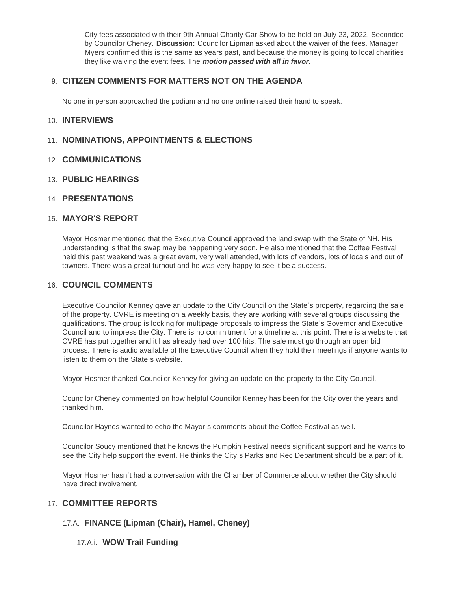City fees associated with their 9th Annual Charity Car Show to be held on July 23, 2022. Seconded by Councilor Cheney. **Discussion:** Councilor Lipman asked about the waiver of the fees. Manager Myers confirmed this is the same as years past, and because the money is going to local charities they like waiving the event fees. The *motion passed with all in favor.*

# **CITIZEN COMMENTS FOR MATTERS NOT ON THE AGENDA** 9.

No one in person approached the podium and no one online raised their hand to speak.

### **INTERVIEWS** 10.

## 11. NOMINATIONS, APPOINTMENTS & ELECTIONS

- **COMMUNICATIONS** 12.
- **PUBLIC HEARINGS** 13.
- **PRESENTATIONS** 14.

### **MAYOR'S REPORT** 15.

Mayor Hosmer mentioned that the Executive Council approved the land swap with the State of NH. His understanding is that the swap may be happening very soon. He also mentioned that the Coffee Festival held this past weekend was a great event, very well attended, with lots of vendors, lots of locals and out of towners. There was a great turnout and he was very happy to see it be a success.

## **COUNCIL COMMENTS** 16.

Executive Councilor Kenney gave an update to the City Council on the State's property, regarding the sale of the property. CVRE is meeting on a weekly basis, they are working with several groups discussing the qualifications. The group is looking for multipage proposals to impress the State's Governor and Executive Council and to impress the City. There is no commitment for a timeline at this point. There is a website that CVRE has put together and it has already had over 100 hits. The sale must go through an open bid process. There is audio available of the Executive Council when they hold their meetings if anyone wants to listen to them on the State's website.

Mayor Hosmer thanked Councilor Kenney for giving an update on the property to the City Council.

Councilor Cheney commented on how helpful Councilor Kenney has been for the City over the years and thanked him.

Councilor Haynes wanted to echo the Mayor's comments about the Coffee Festival as well.

Councilor Soucy mentioned that he knows the Pumpkin Festival needs significant support and he wants to see the City help support the event. He thinks the City's Parks and Rec Department should be a part of it.

Mayor Hosmer hasn't had a conversation with the Chamber of Commerce about whether the City should have direct involvement.

### **COMMITTEE REPORTS** 17.

#### **FINANCE (Lipman (Chair), Hamel, Cheney)** 17.A.

**WOW Trail Funding** 17.A.i.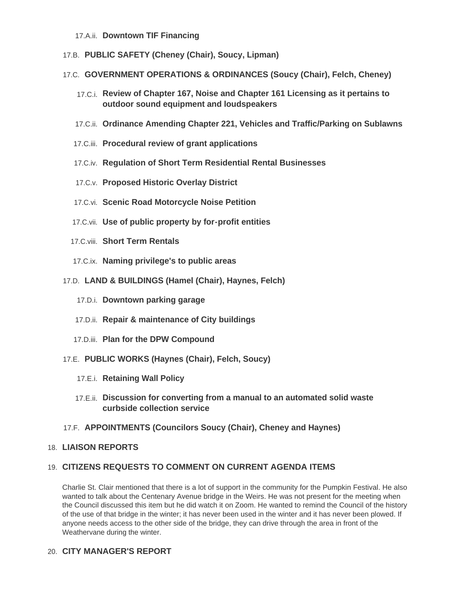- 17.A.ii. Downtown TIF Financing
- **PUBLIC SAFETY (Cheney (Chair), Soucy, Lipman)** 17.B.
- **GOVERNMENT OPERATIONS & ORDINANCES (Soucy (Chair), Felch, Cheney)** 17.C.
	- **Review of Chapter 167, Noise and Chapter 161 Licensing as it pertains to**  17.C.i. **outdoor sound equipment and loudspeakers**
	- **Ordinance Amending Chapter 221, Vehicles and Traffic/Parking on Sublawns** 17.C.ii.
	- **Procedural review of grant applications** 17.C.iii.
	- **Regulation of Short Term Residential Rental Businesses** 17.C.iv.
	- 17.C.v. Proposed Historic Overlay District
	- 17.C.vi. Scenic Road Motorcycle Noise Petition
	- **Use of public property by for-profit entities** 17.C.vii.
	- 17.C.viii. Short Term Rentals
	- **Naming privilege's to public areas** 17.C.ix.
- **LAND & BUILDINGS (Hamel (Chair), Haynes, Felch)** 17.D.
	- 17.D.i. Downtown parking garage
	- 17.D.ii. Repair & maintenance of City buildings
	- 17.D.iii. Plan for the DPW Compound
- **PUBLIC WORKS (Haynes (Chair), Felch, Soucy)** 17.E.
	- 17.E.i. Retaining Wall Policy
	- **Discussion for converting from a manual to an automated solid waste**  17.E.ii. **curbside collection service**
- **APPOINTMENTS (Councilors Soucy (Chair), Cheney and Haynes)** 17.F.

### **LIAISON REPORTS** 18.

# **CITIZENS REQUESTS TO COMMENT ON CURRENT AGENDA ITEMS** 19.

Charlie St. Clair mentioned that there is a lot of support in the community for the Pumpkin Festival. He also wanted to talk about the Centenary Avenue bridge in the Weirs. He was not present for the meeting when the Council discussed this item but he did watch it on Zoom. He wanted to remind the Council of the history of the use of that bridge in the winter; it has never been used in the winter and it has never been plowed. If anyone needs access to the other side of the bridge, they can drive through the area in front of the Weathervane during the winter.

# **CITY MANAGER'S REPORT** 20.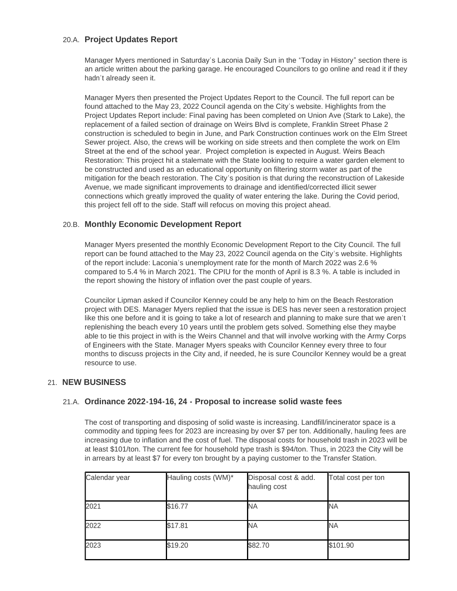# **Project Updates Report** 20.A.

Manager Myers mentioned in Saturday's Laconia Daily Sun in the "Today in History" section there is an article written about the parking garage. He encouraged Councilors to go online and read it if they hadn't already seen it.

Manager Myers then presented the Project Updates Report to the Council. The full report can be found attached to the May 23, 2022 Council agenda on the City's website. Highlights from the Project Updates Report include: Final paving has been completed on Union Ave (Stark to Lake), the replacement of a failed section of drainage on Weirs Blvd is complete, Franklin Street Phase 2 construction is scheduled to begin in June, and Park Construction continues work on the Elm Street Sewer project. Also, the crews will be working on side streets and then complete the work on Elm Street at the end of the school year. Project completion is expected in August. Weirs Beach Restoration: This project hit a stalemate with the State looking to require a water garden element to be constructed and used as an educational opportunity on filtering storm water as part of the mitigation for the beach restoration. The City's position is that during the reconstruction of Lakeside Avenue, we made significant improvements to drainage and identified/corrected illicit sewer connections which greatly improved the quality of water entering the lake. During the Covid period, this project fell off to the side. Staff will refocus on moving this project ahead.

# **Monthly Economic Development Report** 20.B.

Manager Myers presented the monthly Economic Development Report to the City Council. The full report can be found attached to the May 23, 2022 Council agenda on the City's website. Highlights of the report include: Laconia's unemployment rate for the month of March 2022 was 2.6 % compared to 5.4 % in March 2021. The CPIU for the month of April is 8.3 %. A table is included in the report showing the history of inflation over the past couple of years.

Councilor Lipman asked if Councilor Kenney could be any help to him on the Beach Restoration project with DES. Manager Myers replied that the issue is DES has never seen a restoration project like this one before and it is going to take a lot of research and planning to make sure that we aren't replenishing the beach every 10 years until the problem gets solved. Something else they maybe able to tie this project in with is the Weirs Channel and that will involve working with the Army Corps of Engineers with the State. Manager Myers speaks with Councilor Kenney every three to four months to discuss projects in the City and, if needed, he is sure Councilor Kenney would be a great resource to use.

# **NEW BUSINESS** 21.

# **Ordinance 2022-194-16, 24 - Proposal to increase solid waste fees** 21.A.

The cost of transporting and disposing of solid waste is increasing. Landfill/incinerator space is a commodity and tipping fees for 2023 are increasing by over \$7 per ton. Additionally, hauling fees are increasing due to inflation and the cost of fuel. The disposal costs for household trash in 2023 will be at least \$101/ton. The current fee for household type trash is \$94/ton. Thus, in 2023 the City will be in arrears by at least \$7 for every ton brought by a paying customer to the Transfer Station.

| Calendar year | Hauling costs (WM)* | Disposal cost & add.<br>hauling cost | Total cost per ton |
|---------------|---------------------|--------------------------------------|--------------------|
| 2021          | \$16.77             | <b>INA</b>                           | INA                |
| 2022          | \$17.81             | <b>INA</b>                           | INA                |
| 2023          | \$19.20             | \$82.70                              | \$101.90           |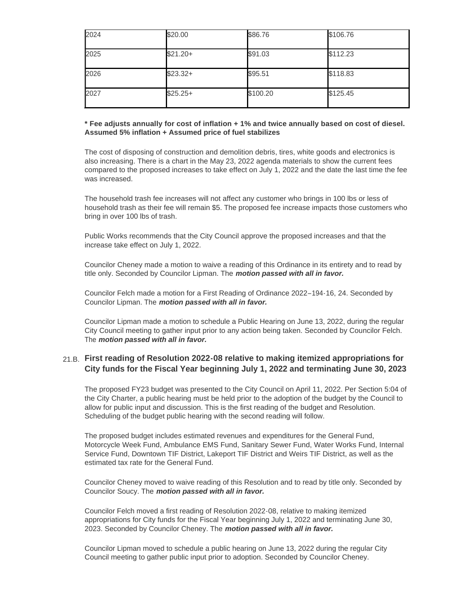| 2024 | \$20.00   | \$86.76  | \$106.76 |
|------|-----------|----------|----------|
| 2025 | $$21.20+$ | \$91.03  | \$112.23 |
| 2026 | $$23.32+$ | \$95.51  | \$118.83 |
| 2027 | $$25.25+$ | \$100.20 | \$125.45 |

#### **\* Fee adjusts annually for cost of inflation + 1% and twice annually based on cost of diesel. Assumed 5% inflation + Assumed price of fuel stabilizes**

The cost of disposing of construction and demolition debris, tires, white goods and electronics is also increasing. There is a chart in the May 23, 2022 agenda materials to show the current fees compared to the proposed increases to take effect on July 1, 2022 and the date the last time the fee was increased.

The household trash fee increases will not affect any customer who brings in 100 lbs or less of household trash as their fee will remain \$5. The proposed fee increase impacts those customers who bring in over 100 lbs of trash.

Public Works recommends that the City Council approve the proposed increases and that the increase take effect on July 1, 2022.

Councilor Cheney made a motion to waive a reading of this Ordinance in its entirety and to read by title only. Seconded by Councilor Lipman. The *motion passed with all in favor.*

Councilor Felch made a motion for a First Reading of Ordinance 2022–194-16, 24. Seconded by Councilor Lipman. The *motion passed with all in favor.*

Councilor Lipman made a motion to schedule a Public Hearing on June 13, 2022, during the regular City Council meeting to gather input prior to any action being taken. Seconded by Councilor Felch. The *motion passed with all in favor.*

### **First reading of Resolution 2022-08 relative to making itemized appropriations for**  21.B. **City funds for the Fiscal Year beginning July 1, 2022 and terminating June 30, 2023**

The proposed FY23 budget was presented to the City Council on April 11, 2022. Per Section 5:04 of the City Charter, a public hearing must be held prior to the adoption of the budget by the Council to allow for public input and discussion. This is the first reading of the budget and Resolution. Scheduling of the budget public hearing with the second reading will follow.

The proposed budget includes estimated revenues and expenditures for the General Fund, Motorcycle Week Fund, Ambulance EMS Fund, Sanitary Sewer Fund, Water Works Fund, Internal Service Fund, Downtown TIF District, Lakeport TIF District and Weirs TIF District, as well as the estimated tax rate for the General Fund.

Councilor Cheney moved to waive reading of this Resolution and to read by title only. Seconded by Councilor Soucy. The *motion passed with all in favor.*

Councilor Felch moved a first reading of Resolution 2022-08, relative to making itemized appropriations for City funds for the Fiscal Year beginning July 1, 2022 and terminating June 30, 2023. Seconded by Councilor Cheney. The *motion passed with all in favor.*

Councilor Lipman moved to schedule a public hearing on June 13, 2022 during the regular City Council meeting to gather public input prior to adoption. Seconded by Councilor Cheney.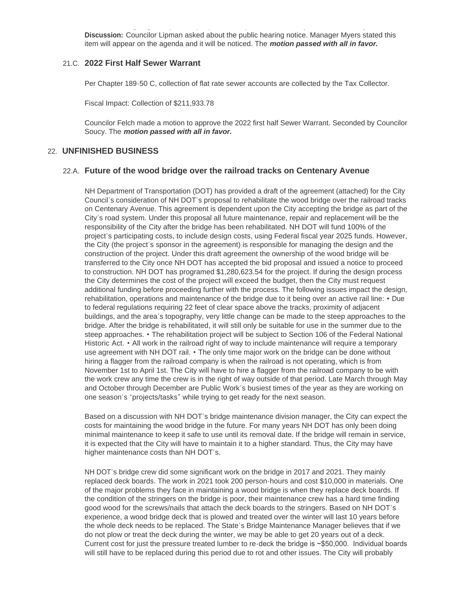Council meeting to gather public input prior to adoption. Seconded by Councilor Cheney. **Discussion:** Councilor Lipman asked about the public hearing notice. Manager Myers stated this item will appear on the agenda and it will be noticed. The *motion passed with all in favor.*

#### **2022 First Half Sewer Warrant** 21.C.

Per Chapter 189-50 C, collection of flat rate sewer accounts are collected by the Tax Collector.

Fiscal Impact: Collection of \$211,933.78

Councilor Felch made a motion to approve the 2022 first half Sewer Warrant. Seconded by Councilor Soucy. The *motion passed with all in favor.*

### **UNFINISHED BUSINESS** 22.

#### **Future of the wood bridge over the railroad tracks on Centenary Avenue** 22.A.

NH Department of Transportation (DOT) has provided a draft of the agreement (attached) for the City Council's consideration of NH DOT's proposal to rehabilitate the wood bridge over the railroad tracks on Centenary Avenue. This agreement is dependent upon the City accepting the bridge as part of the City's road system. Under this proposal all future maintenance, repair and replacement will be the responsibility of the City after the bridge has been rehabilitated. NH DOT will fund 100% of the project's participating costs, to include design costs, using Federal fiscal year 2025 funds. However, the City (the project's sponsor in the agreement) is responsible for managing the design and the construction of the project. Under this draft agreement the ownership of the wood bridge will be transferred to the City once NH DOT has accepted the bid proposal and issued a notice to proceed to construction. NH DOT has programed \$1,280,623.54 for the project. If during the design process the City determines the cost of the project will exceed the budget, then the City must request additional funding before proceeding further with the process. The following issues impact the design, rehabilitation, operations and maintenance of the bridge due to it being over an active rail line: • Due to federal regulations requiring 22 feet of clear space above the tracks, proximity of adjacent buildings, and the area's topography, very little change can be made to the steep approaches to the bridge. After the bridge is rehabilitated, it will still only be suitable for use in the summer due to the steep approaches. • The rehabilitation project will be subject to Section 106 of the Federal National Historic Act. • All work in the railroad right of way to include maintenance will require a temporary use agreement with NH DOT rail. • The only time major work on the bridge can be done without hiring a flagger from the railroad company is when the railroad is not operating, which is from November 1st to April 1st. The City will have to hire a flagger from the railroad company to be with the work crew any time the crew is in the right of way outside of that period. Late March through May and October through December are Public Work's busiest times of the year as they are working on one season's "projects/tasks" while trying to get ready for the next season.

Based on a discussion with NH DOT's bridge maintenance division manager, the City can expect the costs for maintaining the wood bridge in the future. For many years NH DOT has only been doing minimal maintenance to keep it safe to use until its removal date. If the bridge will remain in service, it is expected that the City will have to maintain it to a higher standard. Thus, the City may have higher maintenance costs than NH DOT's.

NH DOT's bridge crew did some significant work on the bridge in 2017 and 2021. They mainly replaced deck boards. The work in 2021 took 200 person-hours and cost \$10,000 in materials. One of the major problems they face in maintaining a wood bridge is when they replace deck boards. If the condition of the stringers on the bridge is poor, their maintenance crew has a hard time finding good wood for the screws/nails that attach the deck boards to the stringers. Based on NH DOT's experience, a wood bridge deck that is plowed and treated over the winter will last 10 years before the whole deck needs to be replaced. The State's Bridge Maintenance Manager believes that if we do not plow or treat the deck during the winter, we may be able to get 20 years out of a deck. Current cost for just the pressure treated lumber to re-deck the bridge is ~\$50,000. Individual boards will still have to be replaced during this period due to rot and other issues. The City will probably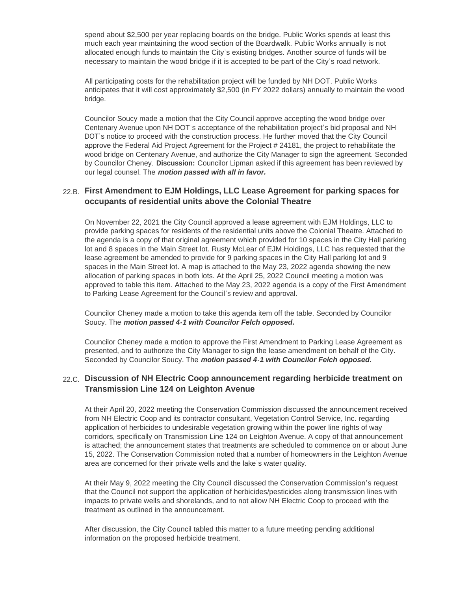spend about \$2,500 per year replacing boards on the bridge. Public Works spends at least this much each year maintaining the wood section of the Boardwalk. Public Works annually is not allocated enough funds to maintain the City's existing bridges. Another source of funds will be necessary to maintain the wood bridge if it is accepted to be part of the City's road network.

All participating costs for the rehabilitation project will be funded by NH DOT. Public Works anticipates that it will cost approximately \$2,500 (in FY 2022 dollars) annually to maintain the wood bridge.

Councilor Soucy made a motion that the City Council approve accepting the wood bridge over Centenary Avenue upon NH DOT's acceptance of the rehabilitation project's bid proposal and NH DOT's notice to proceed with the construction process. He further moved that the City Council approve the Federal Aid Project Agreement for the Project # 24181, the project to rehabilitate the wood bridge on Centenary Avenue, and authorize the City Manager to sign the agreement. Seconded by Councilor Cheney. **Discussion:** Councilor Lipman asked if this agreement has been reviewed by our legal counsel. The *motion passed with all in favor.*

# **First Amendment to EJM Holdings, LLC Lease Agreement for parking spaces for**  22.B. **occupants of residential units above the Colonial Theatre**

On November 22, 2021 the City Council approved a lease agreement with EJM Holdings, LLC to provide parking spaces for residents of the residential units above the Colonial Theatre. Attached to the agenda is a copy of that original agreement which provided for 10 spaces in the City Hall parking lot and 8 spaces in the Main Street lot. Rusty McLear of EJM Holdings, LLC has requested that the lease agreement be amended to provide for 9 parking spaces in the City Hall parking lot and 9 spaces in the Main Street lot. A map is attached to the May 23, 2022 agenda showing the new allocation of parking spaces in both lots. At the April 25, 2022 Council meeting a motion was approved to table this item. Attached to the May 23, 2022 agenda is a copy of the First Amendment to Parking Lease Agreement for the Council's review and approval.

Councilor Cheney made a motion to take this agenda item off the table. Seconded by Councilor Soucy. The *motion passed 4-1 with Councilor Felch opposed.*

Councilor Cheney made a motion to approve the First Amendment to Parking Lease Agreement as presented, and to authorize the City Manager to sign the lease amendment on behalf of the City. Seconded by Councilor Soucy. The *motion passed 4-1 with Councilor Felch opposed.*

### **Discussion of NH Electric Coop announcement regarding herbicide treatment on**  22.C. **Transmission Line 124 on Leighton Avenue**

At their April 20, 2022 meeting the Conservation Commission discussed the announcement received from NH Electric Coop and its contractor consultant, Vegetation Control Service, Inc. regarding application of herbicides to undesirable vegetation growing within the power line rights of way corridors, specifically on Transmission Line 124 on Leighton Avenue. A copy of that announcement is attached; the announcement states that treatments are scheduled to commence on or about June 15, 2022. The Conservation Commission noted that a number of homeowners in the Leighton Avenue area are concerned for their private wells and the lake's water quality.

At their May 9, 2022 meeting the City Council discussed the Conservation Commission's request that the Council not support the application of herbicides/pesticides along transmission lines with impacts to private wells and shorelands, and to not allow NH Electric Coop to proceed with the treatment as outlined in the announcement.

After discussion, the City Council tabled this matter to a future meeting pending additional information on the proposed herbicide treatment.